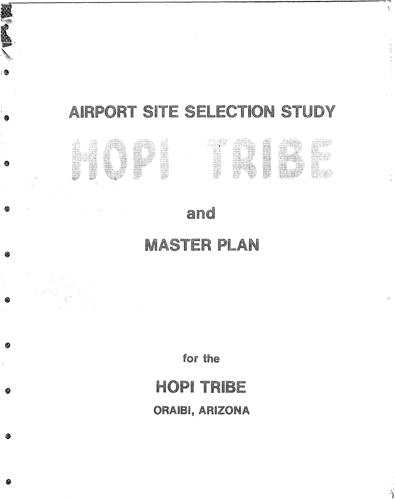# AIRPORT SITE SELECTION STUDY

 $\mathcal{N}$ 

1 德



# MASTER PLAN

for the

# HOPI TRIBE

ORAIBI, ARIZONA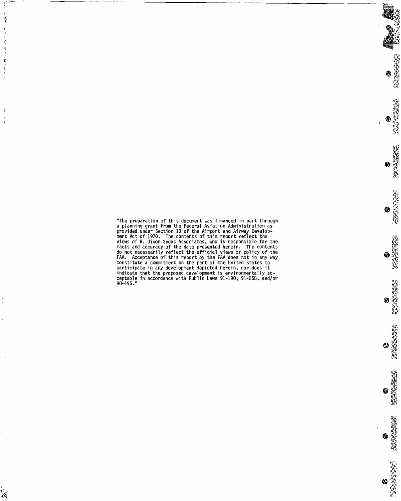"The preparation of this document was financed in part through a planning grant from the Federal Aviation Administration as provided under Section 13 of the Airport and Airway Development Act of 1970. The contents of this report reflect the views of R. Dixon Speas Associates, who is responsible for the facts and accuracy of the data presented herein. The contents do not necessarily reflect the official views or policy of the FAA. Acceptance of this report by the FAA does not in any way constitute a commitment on the part of the United States to participate in any development depicted herein, nor does it indicate that the proposed development is environmentally acceptable in accordance with Public Laws 91-190, 91-258, and/or 90-495."

結婚 すまいせん 多数指数 ひと おしせま アモデル

 $\mathbb{S}_{\mathbf{M}}$  ,  $\ldots$  , and  $\mathbb{S}_{\mathbf{M}}$ 

 $\frac{v}{t}$ 

Å

r<br>Ka

O NEWSTAPIE

高度、河口市、河口市 ♦

**BARBARA AND ANG PARTIES** ⊕

**PARTIES IN THE REAL PROPERTY** ◈

0

**CHARGE AND SECTION** ❀

**National Property** 参

**Marian Marian Salar** ◈

**EACHER** ◈

\$  $\mathbf i$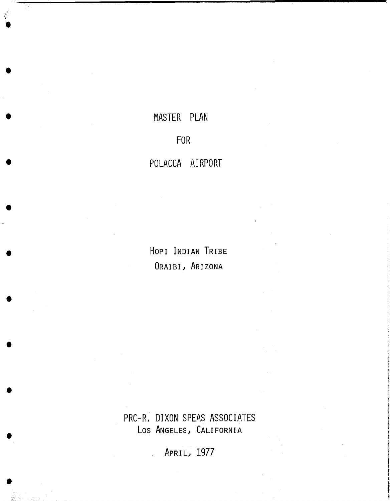## MASTER PLAN

## **FOR**

### POLACCA AIRPORT

HOPI INDIAN TRIBE ORAIBI, ARIZONA

PRC-R. DIXON SPEAS ASSOCIATES LOS ANGELES, CALIFORNIA

APRIL, 1977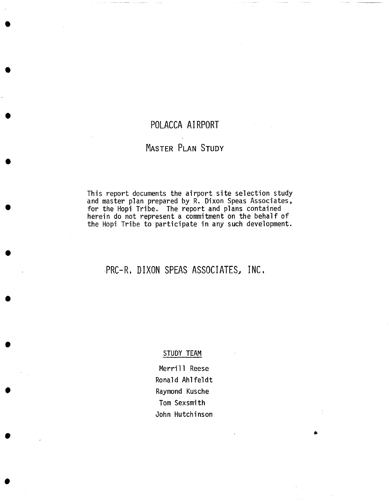### **POLACCA AIRPORT**

### MASTER PLAN STUDY

This report documents the airport site selection study and master plan prepared by R. Dixon Speas Associates, for the Hopi Tribe. The report and plans contained herein do not represent a commitment on the behalf of the Hopi Tribe to participate in any such development.

### **~PRC-R, DIXON SPEAS ASSOCIATES, INC.**

#### STUDY TEAM

Merrill Reese Ronald Ahlfeldt Raymond Kusche Tom Sexsmith John Hutchinson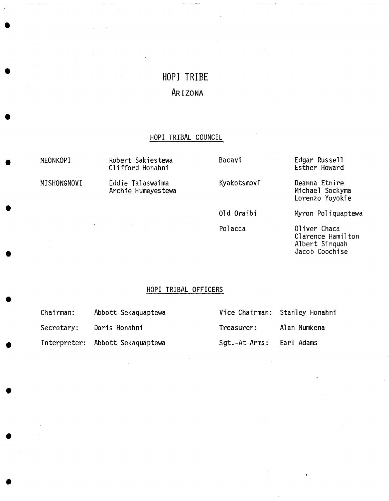## **HOPI TRIBE AR I ZONA**

### **HOPI** TRIBAL COUNCIL

| MEONKOPI    | Robert Sakiestewa<br>Clifford Honahni  | Bacavi      | Edgar Russell<br>Esther Howard                                        |
|-------------|----------------------------------------|-------------|-----------------------------------------------------------------------|
| MISHONGNOVI | Eddie Talaswaima<br>Archie Humeyestewa | Kyakotsmovi | Deanna Etnire<br>Michael Sockyma<br>Lorenzo Yoyokie                   |
|             |                                        | 01d Oraibi  | Myron Poliquaptewa                                                    |
|             | and the state of the state             | Polacca     | Oliver Chaca<br>Clarence Hamilton<br>Albert Singuah<br>Jacob Coochise |

### HOPI TRIBAL OFFICERS

| Chairman:  | Abbott Sekaquaptewa              |                          | Vice Chairman: Stanley Honahni |
|------------|----------------------------------|--------------------------|--------------------------------|
| Secretary: | Doris Honahni                    | Treasurer:               | Alan Numkena                   |
|            | Interpreter: Abbott Sekaquaptewa | Sgt.-At-Arms: Earl Adams |                                |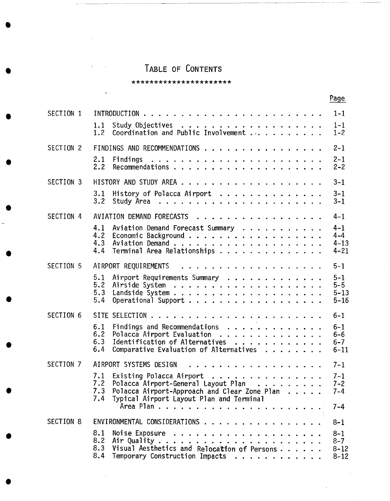## TABLE OF CONTENTS

| ********************** |  |
|------------------------|--|
|------------------------|--|

ś

|            |                                                                                                                                                                                      | Page                                       |
|------------|--------------------------------------------------------------------------------------------------------------------------------------------------------------------------------------|--------------------------------------------|
| SECTION 1  |                                                                                                                                                                                      | $1 - 1$                                    |
|            | 1.1<br>Coordination and Public Involvement<br>1.2                                                                                                                                    | $1 - 1$<br>$1 - 2$                         |
| SECTION 2  | FINDINGS AND RECOMMENDATIONS                                                                                                                                                         | $2 - 1$                                    |
|            | 2.1<br>2.2                                                                                                                                                                           | $2 - 1$<br>$2 - 2$                         |
| SECTION 3  |                                                                                                                                                                                      | $3 - 1$                                    |
|            | History of Polacca Airport<br>3.1<br>3.2                                                                                                                                             | $3 - 1$<br>$3 - 1$                         |
| SECTION 4  | AVIATION DEMAND FORECASTS                                                                                                                                                            | $4 - 1$                                    |
|            | Aviation Demand Forecast Summary<br>4.1<br>4.2<br>4.3<br>Terminal Area Relationships<br>4.4                                                                                          | $4 - 1$<br>$4 - 4$<br>$4 - 13$<br>$4 - 21$ |
| SECTION 5  | AIRPORT REQUIREMENTS                                                                                                                                                                 | $5 - 1$                                    |
|            | Airport Requirements Summary<br>5.1<br>5.2<br>5.3<br>Operational Support<br>5.4                                                                                                      | $5 - 1$<br>$5 - 5$<br>$5 - 13$<br>$5 - 16$ |
| SECTION 6  |                                                                                                                                                                                      | $6 - 1$                                    |
| $\sim 100$ | Findings and Recommendations<br>Polacca Airport Evaluation<br>6.1<br>6.2<br>Identification of Alternatives<br>6.3<br>Comparative Evaluation of Alternatives<br>6.4                   | $6 - 1$<br>$6 - 6$<br>$6 - 7$<br>$6 - 11$  |
| SECTION 7  | AIRPORT SYSTEMS DESIGN<br>.                                                                                                                                                          | $7 - 1$                                    |
|            | 7.1 Existing Polacca Airport<br>7.2<br>Polacca Airport-General Layout Plan<br>Polacca Airport-Approach and Clear Zone Plan<br>7.3<br>7.4<br>Typical Airport Layout Plan and Terminal | $7 - 1$<br>$7 - 2$<br>$7 - 4$              |
|            |                                                                                                                                                                                      | $7 - 4$                                    |
| SECTION 8  | ENVIRONMENTAL CONSIDERATIONS                                                                                                                                                         | $8 - 1$                                    |
|            | 8.1<br>8.2<br>Visual Aesthetics and Relocation of Persons<br>8.3<br>8.4<br>Temporary Construction Impacts                                                                            | $8 - 1$<br>$8 - 7$<br>$8 - 12$<br>$8 - 12$ |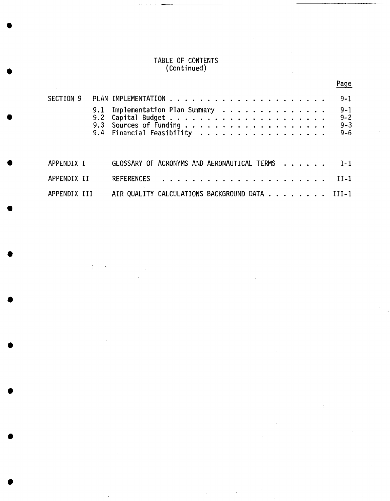#### TABLE OF CONTENTS (Continued)

|              |     |                                                |  |  |  |  |  |  |  | Page    |
|--------------|-----|------------------------------------------------|--|--|--|--|--|--|--|---------|
| SECTION 9    |     |                                                |  |  |  |  |  |  |  | $9 - 1$ |
|              | 9.1 | Implementation Plan Summary                    |  |  |  |  |  |  |  | $9 - 1$ |
|              | 9.2 |                                                |  |  |  |  |  |  |  | $9 - 2$ |
|              |     |                                                |  |  |  |  |  |  |  | $9 - 3$ |
|              |     | 9.4 Financial Feasibility                      |  |  |  |  |  |  |  | $9 - 6$ |
| APPENDIX I   |     | GLOSSARY OF ACRONYMS AND AERONAUTICAL TERMS    |  |  |  |  |  |  |  | $I-1$   |
| APPENDIX II  |     | <b>REFERENCES</b>                              |  |  |  |  |  |  |  | $TI-1$  |
| APPENDIX III |     | AIR QUALITY CALCULATIONS BACKGROUND DATA III-1 |  |  |  |  |  |  |  |         |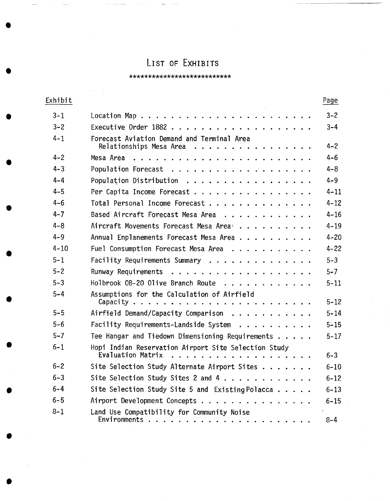## LIST OF EXHIBITS

#### \*\*\*\*\*\*\*\*\*\*\*\*\*\*\*\*\*\*\*\*\*\*\*\*\*\*\*

| Exhibit  |                                                                                                                                                                          | Page     |
|----------|--------------------------------------------------------------------------------------------------------------------------------------------------------------------------|----------|
| $3 - 1$  |                                                                                                                                                                          | $3 - 2$  |
| $3 - 2$  |                                                                                                                                                                          | $3 - 4$  |
| $4 - 1$  | Forecast Aviation Demand and Terminal Area<br>Relationships Mesa Area                                                                                                    | $4 - 2$  |
| $4 - 2$  | Mesa Area<br>$\mathbf{r}$ and $\mathbf{r}$ and $\mathbf{r}$<br>. <b>.</b>                                                                                                | $4 - 6$  |
| $4 - 3$  |                                                                                                                                                                          | $4 - 8$  |
| $4 - 4$  | Population Distribution                                                                                                                                                  | $4 - 9$  |
| $4 - 5$  | Per Capita Income Forecast                                                                                                                                               | $4 - 11$ |
| $4 - 6$  | Total Personal Income Forecast                                                                                                                                           | $4 - 12$ |
| $4 - 7$  | Based Aircraft Forecast Mesa Area<br>$\begin{array}{cccccccccccccc} \bullet & \bullet & \bullet & \bullet & \bullet & \bullet & \bullet & \bullet & \bullet \end{array}$ | $4 - 16$ |
| 4–8      | Aircraft Movements Forecast Mesa Area <sup>1</sup>                                                                                                                       | $4 - 19$ |
| $4 - 9$  | Annual Enplanements Forecast Mesa Area                                                                                                                                   | $4 - 20$ |
| $4 - 10$ | Fuel Consumption Forecast Mesa Area                                                                                                                                      | $4 - 22$ |
| $5 - 1$  | Facility Requirements Summary                                                                                                                                            | $5 - 3$  |
| $5 - 2$  | Runway Requirements                                                                                                                                                      | $5 - 7$  |
| $5 - 3$  | Holbrook OB-20 Olive Branch Route<br>.                                                                                                                                   | $5 - 11$ |
| $5 - 4$  | Assumptions for the Calculation of Airfield                                                                                                                              | $5 - 12$ |
| $5 - 5$  | Airfield Demand/Capacity Comparison                                                                                                                                      | $5 - 14$ |
| $5 - 6$  | Facility Requirements-Landside System<br>.                                                                                                                               | $5 - 15$ |
| $5 - 7$  | Tee Hangar and Tiedown Dimensioning Requirements                                                                                                                         | $5 - 17$ |
| $6 - 1$  | Hopi Indian Reservation Airport Site Selection Study<br>Evaluation Matrix                                                                                                | $6 - 3$  |
| $6 - 2$  | Site Selection Study Alternate Airport Sites                                                                                                                             | $6 - 10$ |
| $6 - 3$  | Site Selection Study Sites 2 and 4                                                                                                                                       | $6 - 12$ |
| $6 - 4$  | Site Selection Study Site 5 and Existing Polacca                                                                                                                         | $6 - 13$ |
| $6 - 5$  | Airport Development Concepts                                                                                                                                             | $6 - 15$ |
| $8 - 1$  | Land Use Compatibility for Community Noise                                                                                                                               | $8 - 4$  |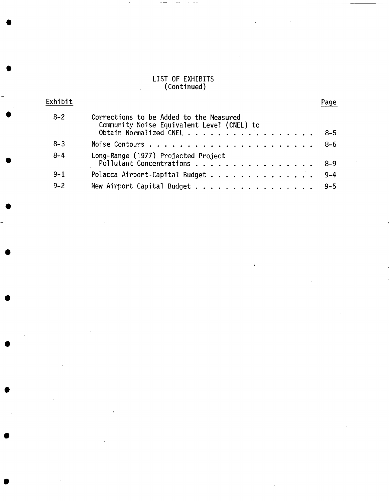### LIST OF EXHIBITS (Continued)

**O** 

| Exhibit |                                                                                       | Page    |
|---------|---------------------------------------------------------------------------------------|---------|
| $8 - 2$ | Corrections to be Added to the Measured<br>Community Noise Equivalent Level (CNEL) to |         |
|         | Obtain Normalized CNEL                                                                | $-8-5$  |
| $8 - 3$ |                                                                                       | $8 - 6$ |
| $8 - 4$ | Long-Range (1977) Projected Project<br>Pollutant Concentrations                       | $8 - 9$ |
| $9 - 1$ | Polacca Airport-Capital Budget                                                        | $9 - 4$ |
| $9 - 2$ | New Airport Capital Budget                                                            | $9 - 5$ |